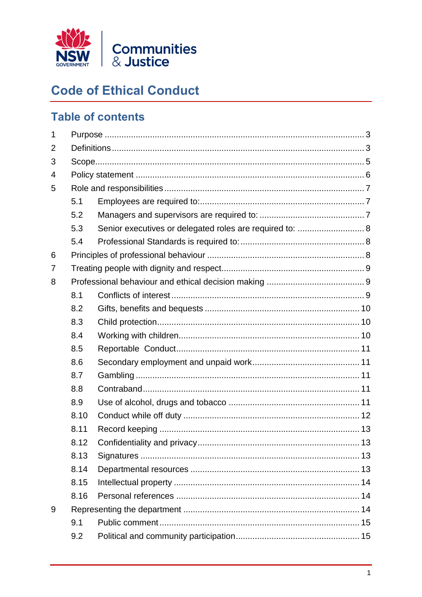

# **Code of Ethical Conduct**

# **Table of contents**

| $\mathbf 1$ |      |                                                          |  |  |
|-------------|------|----------------------------------------------------------|--|--|
| 2           |      |                                                          |  |  |
| 3           |      |                                                          |  |  |
| 4           |      |                                                          |  |  |
| 5           |      |                                                          |  |  |
|             | 5.1  |                                                          |  |  |
|             | 5.2  |                                                          |  |  |
|             | 5.3  | Senior executives or delegated roles are required to:  8 |  |  |
|             | 5.4  |                                                          |  |  |
| 6           |      |                                                          |  |  |
| 7           |      |                                                          |  |  |
| 8           |      |                                                          |  |  |
|             | 8.1  |                                                          |  |  |
|             | 8.2  |                                                          |  |  |
|             | 8.3  |                                                          |  |  |
|             | 8.4  |                                                          |  |  |
|             | 8.5  |                                                          |  |  |
|             | 8.6  |                                                          |  |  |
|             | 8.7  |                                                          |  |  |
|             | 8.8  |                                                          |  |  |
|             | 8.9  |                                                          |  |  |
|             | 8.10 |                                                          |  |  |
|             | 8.11 |                                                          |  |  |
|             | 8.12 |                                                          |  |  |
|             | 8.13 |                                                          |  |  |
|             | 8.14 |                                                          |  |  |
|             | 8.15 |                                                          |  |  |
|             | 8.16 |                                                          |  |  |
| 9           |      |                                                          |  |  |
|             | 9.1  |                                                          |  |  |
|             | 9.2  |                                                          |  |  |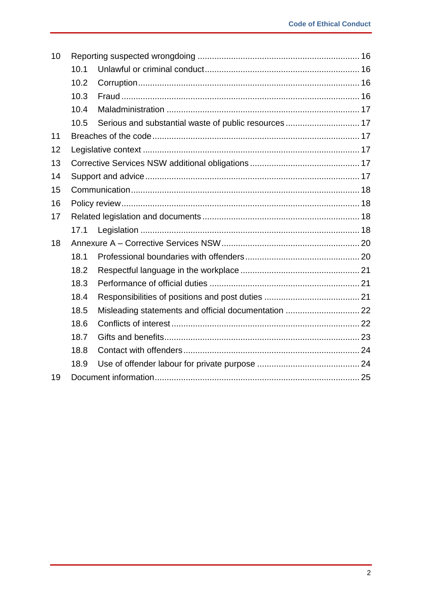| 10 |      |                                                       |  |  |
|----|------|-------------------------------------------------------|--|--|
|    | 10.1 |                                                       |  |  |
|    | 10.2 |                                                       |  |  |
|    | 10.3 |                                                       |  |  |
|    | 10.4 |                                                       |  |  |
|    | 10.5 | Serious and substantial waste of public resources  17 |  |  |
| 11 |      |                                                       |  |  |
| 12 |      |                                                       |  |  |
| 13 |      |                                                       |  |  |
| 14 |      |                                                       |  |  |
| 15 |      |                                                       |  |  |
| 16 |      |                                                       |  |  |
| 17 |      |                                                       |  |  |
|    | 17.1 |                                                       |  |  |
| 18 |      |                                                       |  |  |
|    | 18.1 |                                                       |  |  |
|    | 18.2 |                                                       |  |  |
|    | 18.3 |                                                       |  |  |
|    | 18.4 |                                                       |  |  |
|    | 18.5 | Misleading statements and official documentation  22  |  |  |
|    | 18.6 |                                                       |  |  |
|    | 18.7 |                                                       |  |  |
|    | 18.8 |                                                       |  |  |
|    | 18.9 |                                                       |  |  |
| 19 |      |                                                       |  |  |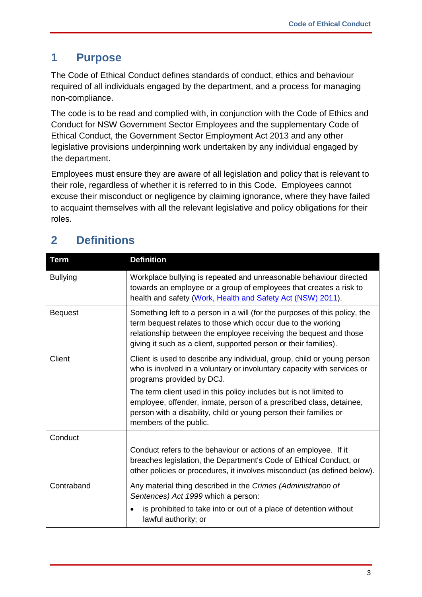## <span id="page-2-0"></span>**1 Purpose**

The Code of Ethical Conduct defines standards of conduct, ethics and behaviour required of all individuals engaged by the department, and a process for managing non-compliance.

The code is to be read and complied with, in conjunction with the Code of Ethics and Conduct for NSW Government Sector Employees and the supplementary Code of Ethical Conduct, the Government Sector Employment Act 2013 and any other legislative provisions underpinning work undertaken by any individual engaged by the department.

Employees must ensure they are aware of all legislation and policy that is relevant to their role, regardless of whether it is referred to in this Code. Employees cannot excuse their misconduct or negligence by claiming ignorance, where they have failed to acquaint themselves with all the relevant legislative and policy obligations for their roles.

| <b>Term</b>     | <b>Definition</b>                                                                                                                                                                                                                                                                   |
|-----------------|-------------------------------------------------------------------------------------------------------------------------------------------------------------------------------------------------------------------------------------------------------------------------------------|
| <b>Bullying</b> | Workplace bullying is repeated and unreasonable behaviour directed<br>towards an employee or a group of employees that creates a risk to<br>health and safety (Work, Health and Safety Act (NSW) 2011).                                                                             |
| <b>Bequest</b>  | Something left to a person in a will (for the purposes of this policy, the<br>term bequest relates to those which occur due to the working<br>relationship between the employee receiving the bequest and those<br>giving it such as a client, supported person or their families). |
| Client          | Client is used to describe any individual, group, child or young person<br>who is involved in a voluntary or involuntary capacity with services or<br>programs provided by DCJ.                                                                                                     |
|                 | The term client used in this policy includes but is not limited to<br>employee, offender, inmate, person of a prescribed class, detainee,<br>person with a disability, child or young person their families or<br>members of the public.                                            |
| Conduct         |                                                                                                                                                                                                                                                                                     |
|                 | Conduct refers to the behaviour or actions of an employee. If it<br>breaches legislation, the Department's Code of Ethical Conduct, or<br>other policies or procedures, it involves misconduct (as defined below).                                                                  |
| Contraband      | Any material thing described in the Crimes (Administration of<br>Sentences) Act 1999 which a person:                                                                                                                                                                                |
|                 | is prohibited to take into or out of a place of detention without<br>lawful authority; or                                                                                                                                                                                           |

# <span id="page-2-1"></span>**2 Definitions**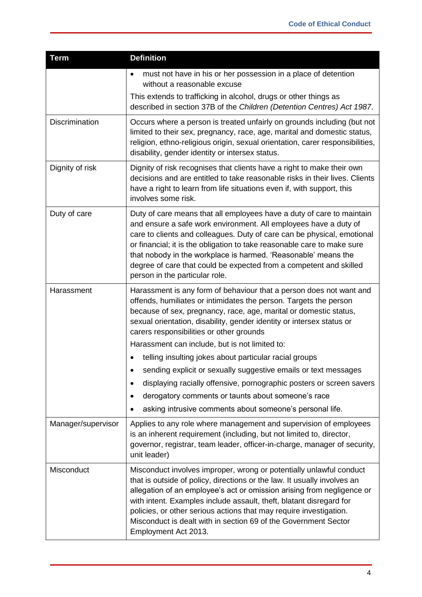| <b>Term</b>        | <b>Definition</b>                                                                                                                                                                                                                                                                                                                                                                                                                                                         |
|--------------------|---------------------------------------------------------------------------------------------------------------------------------------------------------------------------------------------------------------------------------------------------------------------------------------------------------------------------------------------------------------------------------------------------------------------------------------------------------------------------|
|                    | must not have in his or her possession in a place of detention<br>٠<br>without a reasonable excuse                                                                                                                                                                                                                                                                                                                                                                        |
|                    | This extends to trafficking in alcohol, drugs or other things as<br>described in section 37B of the Children (Detention Centres) Act 1987.                                                                                                                                                                                                                                                                                                                                |
| Discrimination     | Occurs where a person is treated unfairly on grounds including (but not<br>limited to their sex, pregnancy, race, age, marital and domestic status,<br>religion, ethno-religious origin, sexual orientation, carer responsibilities,<br>disability, gender identity or intersex status.                                                                                                                                                                                   |
| Dignity of risk    | Dignity of risk recognises that clients have a right to make their own<br>decisions and are entitled to take reasonable risks in their lives. Clients<br>have a right to learn from life situations even if, with support, this<br>involves some risk.                                                                                                                                                                                                                    |
| Duty of care       | Duty of care means that all employees have a duty of care to maintain<br>and ensure a safe work environment. All employees have a duty of<br>care to clients and colleagues. Duty of care can be physical, emotional<br>or financial; it is the obligation to take reasonable care to make sure<br>that nobody in the workplace is harmed. 'Reasonable' means the<br>degree of care that could be expected from a competent and skilled<br>person in the particular role. |
| Harassment         | Harassment is any form of behaviour that a person does not want and<br>offends, humiliates or intimidates the person. Targets the person<br>because of sex, pregnancy, race, age, marital or domestic status,<br>sexual orientation, disability, gender identity or intersex status or<br>carers responsibilities or other grounds                                                                                                                                        |
|                    | Harassment can include, but is not limited to:                                                                                                                                                                                                                                                                                                                                                                                                                            |
|                    | telling insulting jokes about particular racial groups                                                                                                                                                                                                                                                                                                                                                                                                                    |
|                    | sending explicit or sexually suggestive emails or text messages                                                                                                                                                                                                                                                                                                                                                                                                           |
|                    | displaying racially offensive, pornographic posters or screen savers<br>٠                                                                                                                                                                                                                                                                                                                                                                                                 |
|                    | derogatory comments or taunts about someone's race<br>٠                                                                                                                                                                                                                                                                                                                                                                                                                   |
|                    | asking intrusive comments about someone's personal life.                                                                                                                                                                                                                                                                                                                                                                                                                  |
| Manager/supervisor | Applies to any role where management and supervision of employees<br>is an inherent requirement (including, but not limited to, director,<br>governor, registrar, team leader, officer-in-charge, manager of security,<br>unit leader)                                                                                                                                                                                                                                    |
| Misconduct         | Misconduct involves improper, wrong or potentially unlawful conduct<br>that is outside of policy, directions or the law. It usually involves an<br>allegation of an employee's act or omission arising from negligence or<br>with intent. Examples include assault, theft, blatant disregard for<br>policies, or other serious actions that may require investigation.<br>Misconduct is dealt with in section 69 of the Government Sector<br>Employment Act 2013.         |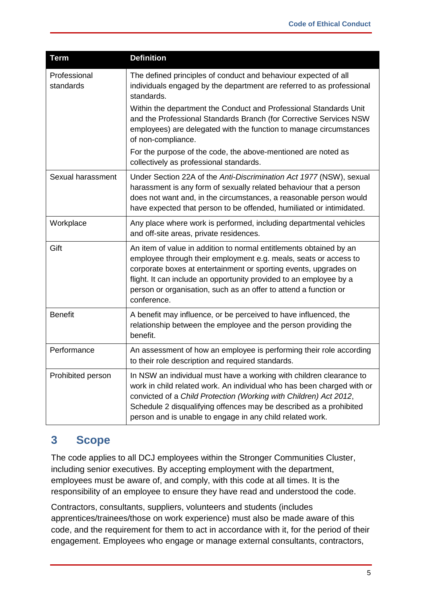| <b>Term</b>               | <b>Definition</b>                                                                                                                                                                                                                                                                                                                                                   |
|---------------------------|---------------------------------------------------------------------------------------------------------------------------------------------------------------------------------------------------------------------------------------------------------------------------------------------------------------------------------------------------------------------|
| Professional<br>standards | The defined principles of conduct and behaviour expected of all<br>individuals engaged by the department are referred to as professional<br>standards.                                                                                                                                                                                                              |
|                           | Within the department the Conduct and Professional Standards Unit<br>and the Professional Standards Branch (for Corrective Services NSW<br>employees) are delegated with the function to manage circumstances<br>of non-compliance.                                                                                                                                 |
|                           | For the purpose of the code, the above-mentioned are noted as<br>collectively as professional standards.                                                                                                                                                                                                                                                            |
| Sexual harassment         | Under Section 22A of the Anti-Discrimination Act 1977 (NSW), sexual<br>harassment is any form of sexually related behaviour that a person<br>does not want and, in the circumstances, a reasonable person would<br>have expected that person to be offended, humiliated or intimidated.                                                                             |
| Workplace                 | Any place where work is performed, including departmental vehicles<br>and off-site areas, private residences.                                                                                                                                                                                                                                                       |
| Gift                      | An item of value in addition to normal entitlements obtained by an<br>employee through their employment e.g. meals, seats or access to<br>corporate boxes at entertainment or sporting events, upgrades on<br>flight. It can include an opportunity provided to an employee by a<br>person or organisation, such as an offer to attend a function or<br>conference. |
| <b>Benefit</b>            | A benefit may influence, or be perceived to have influenced, the<br>relationship between the employee and the person providing the<br>benefit.                                                                                                                                                                                                                      |
| Performance               | An assessment of how an employee is performing their role according<br>to their role description and required standards.                                                                                                                                                                                                                                            |
| Prohibited person         | In NSW an individual must have a working with children clearance to<br>work in child related work. An individual who has been charged with or<br>convicted of a Child Protection (Working with Children) Act 2012,<br>Schedule 2 disqualifying offences may be described as a prohibited<br>person and is unable to engage in any child related work.               |

## <span id="page-4-0"></span>**3 Scope**

The code applies to all DCJ employees within the Stronger Communities Cluster, including senior executives. By accepting employment with the department, employees must be aware of, and comply, with this code at all times. It is the responsibility of an employee to ensure they have read and understood the code.

Contractors, consultants, suppliers, volunteers and students (includes apprentices/trainees/those on work experience) must also be made aware of this code, and the requirement for them to act in accordance with it, for the period of their engagement. Employees who engage or manage external consultants, contractors,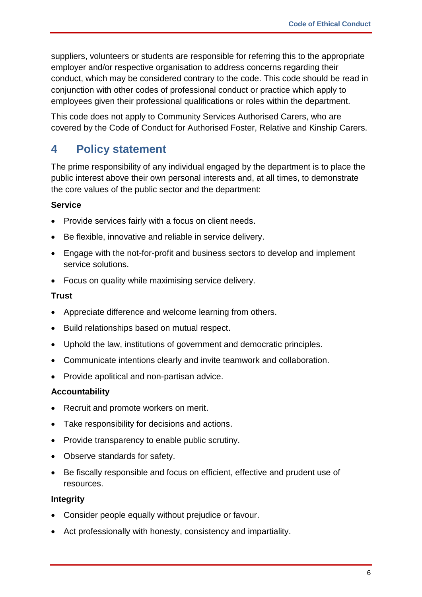suppliers, volunteers or students are responsible for referring this to the appropriate employer and/or respective organisation to address concerns regarding their conduct, which may be considered contrary to the code. This code should be read in conjunction with other codes of professional conduct or practice which apply to employees given their professional qualifications or roles within the department.

This code does not apply to Community Services Authorised Carers, who are covered by the Code of Conduct for Authorised Foster, Relative and Kinship Carers.

## <span id="page-5-0"></span>**4 Policy statement**

The prime responsibility of any individual engaged by the department is to place the public interest above their own personal interests and, at all times, to demonstrate the core values of the public sector and the department:

#### **Service**

- Provide services fairly with a focus on client needs.
- Be flexible, innovative and reliable in service delivery.
- Engage with the not-for-profit and business sectors to develop and implement service solutions.
- Focus on quality while maximising service delivery.

#### **Trust**

- Appreciate difference and welcome learning from others.
- Build relationships based on mutual respect.
- Uphold the law, institutions of government and democratic principles.
- Communicate intentions clearly and invite teamwork and collaboration.
- Provide apolitical and non-partisan advice.

#### **Accountability**

- Recruit and promote workers on merit.
- Take responsibility for decisions and actions.
- Provide transparency to enable public scrutiny.
- Observe standards for safety.
- Be fiscally responsible and focus on efficient, effective and prudent use of resources.

#### **Integrity**

- Consider people equally without prejudice or favour.
- Act professionally with honesty, consistency and impartiality.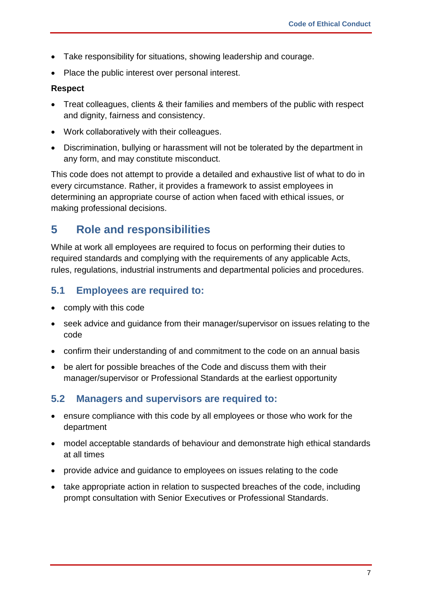- Take responsibility for situations, showing leadership and courage.
- Place the public interest over personal interest.

#### **Respect**

- Treat colleagues, clients & their families and members of the public with respect and dignity, fairness and consistency.
- Work collaboratively with their colleagues.
- Discrimination, bullying or harassment will not be tolerated by the department in any form, and may constitute misconduct.

This code does not attempt to provide a detailed and exhaustive list of what to do in every circumstance. Rather, it provides a framework to assist employees in determining an appropriate course of action when faced with ethical issues, or making professional decisions.

### <span id="page-6-0"></span>**5 Role and responsibilities**

While at work all employees are required to focus on performing their duties to required standards and complying with the requirements of any applicable Acts, rules, regulations, industrial instruments and departmental policies and procedures.

#### <span id="page-6-1"></span>**5.1 Employees are required to:**

- comply with this code
- seek advice and guidance from their manager/supervisor on issues relating to the code
- confirm their understanding of and commitment to the code on an annual basis
- be alert for possible breaches of the Code and discuss them with their manager/supervisor or Professional Standards at the earliest opportunity

#### <span id="page-6-2"></span>**5.2 Managers and supervisors are required to:**

- ensure compliance with this code by all employees or those who work for the department
- model acceptable standards of behaviour and demonstrate high ethical standards at all times
- provide advice and guidance to employees on issues relating to the code
- take appropriate action in relation to suspected breaches of the code, including prompt consultation with Senior Executives or Professional Standards.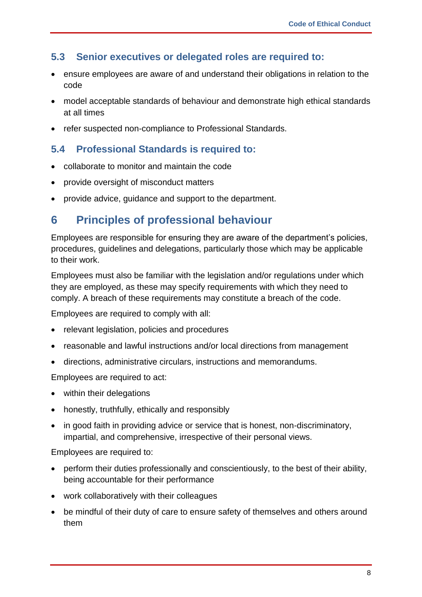#### <span id="page-7-0"></span>**5.3 Senior executives or delegated roles are required to:**

- ensure employees are aware of and understand their obligations in relation to the code
- model acceptable standards of behaviour and demonstrate high ethical standards at all times
- refer suspected non-compliance to Professional Standards.

#### <span id="page-7-1"></span>**5.4 Professional Standards is required to:**

- collaborate to monitor and maintain the code
- provide oversight of misconduct matters
- provide advice, guidance and support to the department.

### <span id="page-7-2"></span>**6 Principles of professional behaviour**

Employees are responsible for ensuring they are aware of the department's policies, procedures, guidelines and delegations, particularly those which may be applicable to their work.

Employees must also be familiar with the legislation and/or regulations under which they are employed, as these may specify requirements with which they need to comply. A breach of these requirements may constitute a breach of the code.

Employees are required to comply with all:

- relevant legislation, policies and procedures
- reasonable and lawful instructions and/or local directions from management
- directions, administrative circulars, instructions and memorandums.

Employees are required to act:

- within their delegations
- honestly, truthfully, ethically and responsibly
- in good faith in providing advice or service that is honest, non-discriminatory, impartial, and comprehensive, irrespective of their personal views.

Employees are required to:

- perform their duties professionally and conscientiously, to the best of their ability, being accountable for their performance
- work collaboratively with their colleagues
- be mindful of their duty of care to ensure safety of themselves and others around them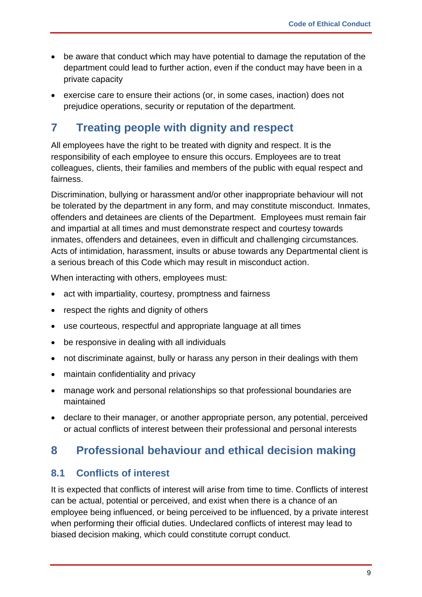- be aware that conduct which may have potential to damage the reputation of the department could lead to further action, even if the conduct may have been in a private capacity
- exercise care to ensure their actions (or, in some cases, inaction) does not prejudice operations, security or reputation of the department.

## <span id="page-8-0"></span>**7 Treating people with dignity and respect**

All employees have the right to be treated with dignity and respect. It is the responsibility of each employee to ensure this occurs. Employees are to treat colleagues, clients, their families and members of the public with equal respect and fairness.

Discrimination, bullying or harassment and/or other inappropriate behaviour will not be tolerated by the department in any form, and may constitute misconduct. Inmates, offenders and detainees are clients of the Department. Employees must remain fair and impartial at all times and must demonstrate respect and courtesy towards inmates, offenders and detainees, even in difficult and challenging circumstances. Acts of intimidation, harassment, insults or abuse towards any Departmental client is a serious breach of this Code which may result in misconduct action.

When interacting with others, employees must:

- act with impartiality, courtesy, promptness and fairness
- respect the rights and dignity of others
- use courteous, respectful and appropriate language at all times
- be responsive in dealing with all individuals
- not discriminate against, bully or harass any person in their dealings with them
- maintain confidentiality and privacy
- manage work and personal relationships so that professional boundaries are maintained
- declare to their manager, or another appropriate person, any potential, perceived or actual conflicts of interest between their professional and personal interests

## <span id="page-8-1"></span>**8 Professional behaviour and ethical decision making**

#### <span id="page-8-2"></span>**8.1 Conflicts of interest**

It is expected that conflicts of interest will arise from time to time. Conflicts of interest can be actual, potential or perceived, and exist when there is a chance of an employee being influenced, or being perceived to be influenced, by a private interest when performing their official duties. Undeclared conflicts of interest may lead to biased decision making, which could constitute corrupt conduct.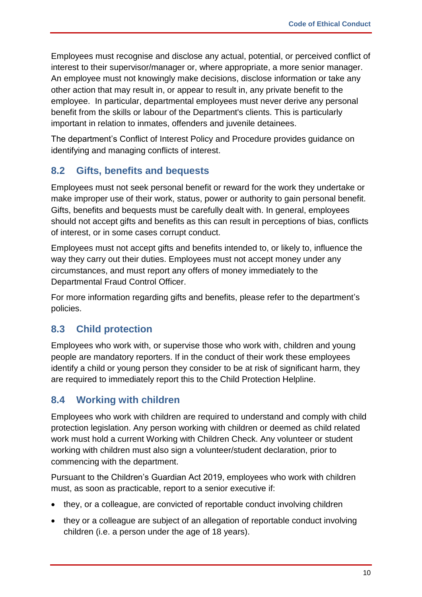Employees must recognise and disclose any actual, potential, or perceived conflict of interest to their supervisor/manager or, where appropriate, a more senior manager. An employee must not knowingly make decisions, disclose information or take any other action that may result in, or appear to result in, any private benefit to the employee. In particular, departmental employees must never derive any personal benefit from the skills or labour of the Department's clients. This is particularly important in relation to inmates, offenders and juvenile detainees.

The department's Conflict of Interest Policy and Procedure provides guidance on identifying and managing conflicts of interest.

### <span id="page-9-0"></span>**8.2 Gifts, benefits and bequests**

Employees must not seek personal benefit or reward for the work they undertake or make improper use of their work, status, power or authority to gain personal benefit. Gifts, benefits and bequests must be carefully dealt with. In general, employees should not accept gifts and benefits as this can result in perceptions of bias, conflicts of interest, or in some cases corrupt conduct.

Employees must not accept gifts and benefits intended to, or likely to, influence the way they carry out their duties. Employees must not accept money under any circumstances, and must report any offers of money immediately to the Departmental Fraud Control Officer.

For more information regarding gifts and benefits, please refer to the department's policies.

#### <span id="page-9-1"></span>**8.3 Child protection**

Employees who work with, or supervise those who work with, children and young people are mandatory reporters. If in the conduct of their work these employees identify a child or young person they consider to be at risk of significant harm, they are required to immediately report this to the Child Protection Helpline.

### <span id="page-9-2"></span>**8.4 Working with children**

Employees who work with children are required to understand and comply with child protection legislation. Any person working with children or deemed as child related work must hold a current Working with Children Check. Any volunteer or student working with children must also sign a volunteer/student declaration, prior to commencing with the department.

Pursuant to the Children's Guardian Act 2019, employees who work with children must, as soon as practicable, report to a senior executive if:

- they, or a colleague, are convicted of reportable conduct involving children
- they or a colleague are subject of an allegation of reportable conduct involving children (i.e. a person under the age of 18 years).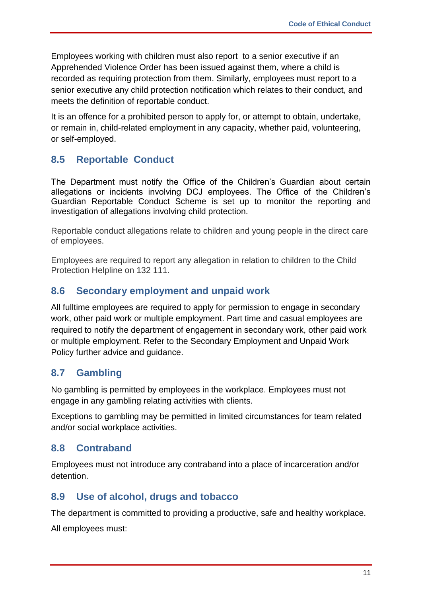Employees working with children must also report to a senior executive if an Apprehended Violence Order has been issued against them, where a child is recorded as requiring protection from them. Similarly, employees must report to a senior executive any child protection notification which relates to their conduct, and meets the definition of reportable conduct.

It is an offence for a prohibited person to apply for, or attempt to obtain, undertake, or remain in, child-related employment in any capacity, whether paid, volunteering, or self-employed.

### <span id="page-10-0"></span>**8.5 Reportable Conduct**

The Department must notify the Office of the Children's Guardian about certain allegations or incidents involving DCJ employees. The Office of the Children's Guardian Reportable Conduct Scheme is set up to monitor the reporting and investigation of allegations involving child protection.

Reportable conduct allegations relate to children and young people in the direct care of employees.

Employees are required to report any allegation in relation to children to the Child Protection Helpline on 132 111.

#### <span id="page-10-1"></span>**8.6 Secondary employment and unpaid work**

All fulltime employees are required to apply for permission to engage in secondary work, other paid work or multiple employment. Part time and casual employees are required to notify the department of engagement in secondary work, other paid work or multiple employment. Refer to the Secondary Employment and Unpaid Work Policy further advice and guidance.

#### <span id="page-10-2"></span>**8.7 Gambling**

No gambling is permitted by employees in the workplace. Employees must not engage in any gambling relating activities with clients.

Exceptions to gambling may be permitted in limited circumstances for team related and/or social workplace activities.

#### <span id="page-10-3"></span>**8.8 Contraband**

Employees must not introduce any contraband into a place of incarceration and/or detention.

#### <span id="page-10-4"></span>**8.9 Use of alcohol, drugs and tobacco**

The department is committed to providing a productive, safe and healthy workplace.

All employees must: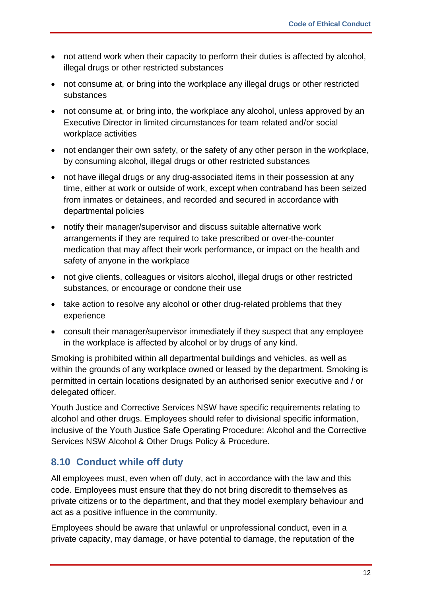- not attend work when their capacity to perform their duties is affected by alcohol, illegal drugs or other restricted substances
- not consume at, or bring into the workplace any illegal drugs or other restricted substances
- not consume at, or bring into, the workplace any alcohol, unless approved by an Executive Director in limited circumstances for team related and/or social workplace activities
- not endanger their own safety, or the safety of any other person in the workplace, by consuming alcohol, illegal drugs or other restricted substances
- not have illegal drugs or any drug-associated items in their possession at any time, either at work or outside of work, except when contraband has been seized from inmates or detainees, and recorded and secured in accordance with departmental policies
- notify their manager/supervisor and discuss suitable alternative work arrangements if they are required to take prescribed or over-the-counter medication that may affect their work performance, or impact on the health and safety of anyone in the workplace
- not give clients, colleagues or visitors alcohol, illegal drugs or other restricted substances, or encourage or condone their use
- take action to resolve any alcohol or other drug-related problems that they experience
- consult their manager/supervisor immediately if they suspect that any employee in the workplace is affected by alcohol or by drugs of any kind.

Smoking is prohibited within all departmental buildings and vehicles, as well as within the grounds of any workplace owned or leased by the department. Smoking is permitted in certain locations designated by an authorised senior executive and / or delegated officer.

Youth Justice and Corrective Services NSW have specific requirements relating to alcohol and other drugs. Employees should refer to divisional specific information, inclusive of the Youth Justice Safe Operating Procedure: Alcohol and the Corrective Services NSW Alcohol & Other Drugs Policy & Procedure.

### <span id="page-11-0"></span>**8.10 Conduct while off duty**

All employees must, even when off duty, act in accordance with the law and this code. Employees must ensure that they do not bring discredit to themselves as private citizens or to the department, and that they model exemplary behaviour and act as a positive influence in the community.

Employees should be aware that unlawful or unprofessional conduct, even in a private capacity, may damage, or have potential to damage, the reputation of the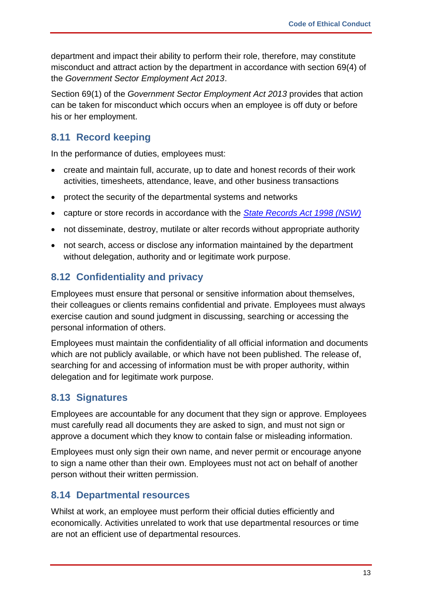department and impact their ability to perform their role, therefore, may constitute misconduct and attract action by the department in accordance with section 69(4) of the *Government Sector Employment Act 2013*.

Section 69(1) of the *Government Sector Employment Act 2013* provides that action can be taken for misconduct which occurs when an employee is off duty or before his or her employment.

### <span id="page-12-0"></span>**8.11 Record keeping**

In the performance of duties, employees must:

- create and maintain full, accurate, up to date and honest records of their work activities, timesheets, attendance, leave, and other business transactions
- protect the security of the departmental systems and networks
- capture or store records in accordance with the *[State Records Act 1998 \(NSW\)](https://www.legislation.nsw.gov.au/view/html/inforce/current/act-1998-017)*
- not disseminate, destroy, mutilate or alter records without appropriate authority
- not search, access or disclose any information maintained by the department without delegation, authority and or legitimate work purpose.

### <span id="page-12-1"></span>**8.12 Confidentiality and privacy**

Employees must ensure that personal or sensitive information about themselves, their colleagues or clients remains confidential and private. Employees must always exercise caution and sound judgment in discussing, searching or accessing the personal information of others.

Employees must maintain the confidentiality of all official information and documents which are not publicly available, or which have not been published. The release of, searching for and accessing of information must be with proper authority, within delegation and for legitimate work purpose.

#### <span id="page-12-2"></span>**8.13 Signatures**

Employees are accountable for any document that they sign or approve. Employees must carefully read all documents they are asked to sign, and must not sign or approve a document which they know to contain false or misleading information.

Employees must only sign their own name, and never permit or encourage anyone to sign a name other than their own. Employees must not act on behalf of another person without their written permission.

#### <span id="page-12-3"></span>**8.14 Departmental resources**

Whilst at work, an employee must perform their official duties efficiently and economically. Activities unrelated to work that use departmental resources or time are not an efficient use of departmental resources.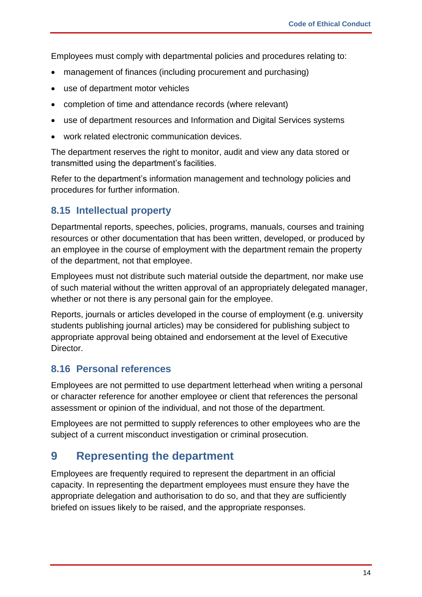Employees must comply with departmental policies and procedures relating to:

- management of finances (including procurement and purchasing)
- use of department motor vehicles
- completion of time and attendance records (where relevant)
- use of department resources and Information and Digital Services systems
- work related electronic communication devices.

The department reserves the right to monitor, audit and view any data stored or transmitted using the department's facilities.

Refer to the department's information management and technology policies and procedures for further information.

#### <span id="page-13-0"></span>**8.15 Intellectual property**

Departmental reports, speeches, policies, programs, manuals, courses and training resources or other documentation that has been written, developed, or produced by an employee in the course of employment with the department remain the property of the department, not that employee.

Employees must not distribute such material outside the department, nor make use of such material without the written approval of an appropriately delegated manager, whether or not there is any personal gain for the employee.

Reports, journals or articles developed in the course of employment (e.g. university students publishing journal articles) may be considered for publishing subject to appropriate approval being obtained and endorsement at the level of Executive Director.

#### <span id="page-13-1"></span>**8.16 Personal references**

Employees are not permitted to use department letterhead when writing a personal or character reference for another employee or client that references the personal assessment or opinion of the individual, and not those of the department.

Employees are not permitted to supply references to other employees who are the subject of a current misconduct investigation or criminal prosecution.

### <span id="page-13-2"></span>**9 Representing the department**

Employees are frequently required to represent the department in an official capacity. In representing the department employees must ensure they have the appropriate delegation and authorisation to do so, and that they are sufficiently briefed on issues likely to be raised, and the appropriate responses.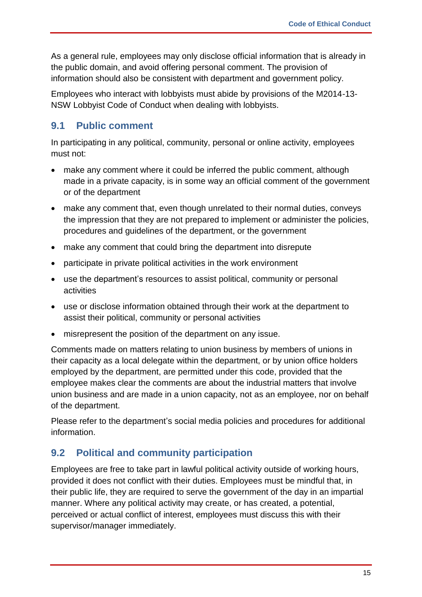As a general rule, employees may only disclose official information that is already in the public domain, and avoid offering personal comment. The provision of information should also be consistent with department and government policy.

Employees who interact with lobbyists must abide by provisions of the M2014-13- NSW Lobbyist Code of Conduct when dealing with lobbyists.

### <span id="page-14-0"></span>**9.1 Public comment**

In participating in any political, community, personal or online activity, employees must not:

- make any comment where it could be inferred the public comment, although made in a private capacity, is in some way an official comment of the government or of the department
- make any comment that, even though unrelated to their normal duties, conveys the impression that they are not prepared to implement or administer the policies, procedures and guidelines of the department, or the government
- make any comment that could bring the department into disrepute
- participate in private political activities in the work environment
- use the department's resources to assist political, community or personal activities
- use or disclose information obtained through their work at the department to assist their political, community or personal activities
- misrepresent the position of the department on any issue.

Comments made on matters relating to union business by members of unions in their capacity as a local delegate within the department, or by union office holders employed by the department, are permitted under this code, provided that the employee makes clear the comments are about the industrial matters that involve union business and are made in a union capacity, not as an employee, nor on behalf of the department.

Please refer to the department's social media policies and procedures for additional information.

### <span id="page-14-1"></span>**9.2 Political and community participation**

Employees are free to take part in lawful political activity outside of working hours, provided it does not conflict with their duties. Employees must be mindful that, in their public life, they are required to serve the government of the day in an impartial manner. Where any political activity may create, or has created, a potential, perceived or actual conflict of interest, employees must discuss this with their supervisor/manager immediately.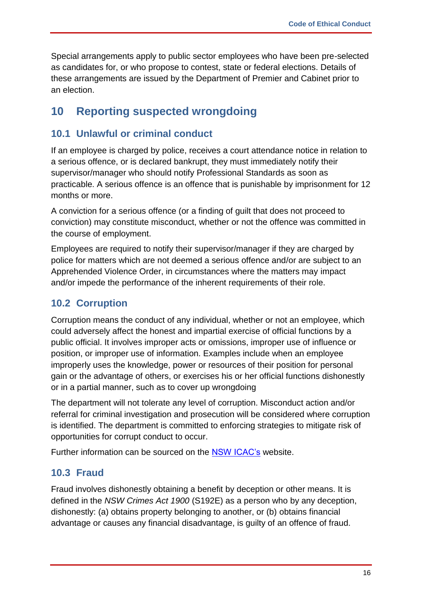Special arrangements apply to public sector employees who have been pre-selected as candidates for, or who propose to contest, state or federal elections. Details of these arrangements are issued by the Department of Premier and Cabinet prior to an election.

### <span id="page-15-0"></span>**10 Reporting suspected wrongdoing**

#### <span id="page-15-1"></span>**10.1 Unlawful or criminal conduct**

If an employee is charged by police, receives a court attendance notice in relation to a serious offence, or is declared bankrupt, they must immediately notify their supervisor/manager who should notify Professional Standards as soon as practicable. A serious offence is an offence that is punishable by imprisonment for 12 months or more.

A conviction for a serious offence (or a finding of guilt that does not proceed to conviction) may constitute misconduct, whether or not the offence was committed in the course of employment.

Employees are required to notify their supervisor/manager if they are charged by police for matters which are not deemed a serious offence and/or are subject to an Apprehended Violence Order, in circumstances where the matters may impact and/or impede the performance of the inherent requirements of their role.

#### <span id="page-15-2"></span>**10.2 Corruption**

Corruption means the conduct of any individual, whether or not an employee, which could adversely affect the honest and impartial exercise of official functions by a public official. It involves improper acts or omissions, improper use of influence or position, or improper use of information. Examples include when an employee improperly uses the knowledge, power or resources of their position for personal gain or the advantage of others, or exercises his or her official functions dishonestly or in a partial manner, such as to cover up wrongdoing

The department will not tolerate any level of corruption. Misconduct action and/or referral for criminal investigation and prosecution will be considered where corruption is identified. The department is committed to enforcing strategies to mitigate risk of opportunities for corrupt conduct to occur.

Further information can be sourced on the [NSW ICAC's](https://www.icac.nsw.gov.au/) website.

#### <span id="page-15-3"></span>**10.3 Fraud**

Fraud involves dishonestly obtaining a benefit by deception or other means. It is defined in the *NSW Crimes Act 1900* (S192E) as a person who by any deception, dishonestly: (a) obtains property belonging to another, or (b) obtains financial advantage or causes any financial disadvantage, is guilty of an offence of fraud.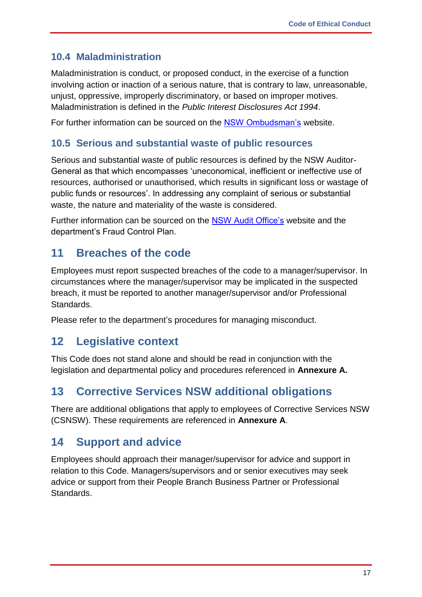### <span id="page-16-0"></span>**10.4 Maladministration**

Maladministration is conduct, or proposed conduct, in the exercise of a function involving action or inaction of a serious nature, that is contrary to law, unreasonable, unjust, oppressive, improperly discriminatory, or based on improper motives. Maladministration is defined in the *Public Interest Disclosures Act 1994*.

For further information can be sourced on the [NSW Ombudsman's](https://www.ombo.nsw.gov.au/) website.

### <span id="page-16-1"></span>**10.5 Serious and substantial waste of public resources**

Serious and substantial waste of public resources is defined by the NSW Auditor-General as that which encompasses 'uneconomical, inefficient or ineffective use of resources, authorised or unauthorised, which results in significant loss or wastage of public funds or resources'. In addressing any complaint of serious or substantial waste, the nature and materiality of the waste is considered.

Further information can be sourced on the [NSW Audit Office's](https://www.audit.nsw.gov.au/) website and the department's Fraud Control Plan.

## <span id="page-16-2"></span>**11 Breaches of the code**

Employees must report suspected breaches of the code to a manager/supervisor. In circumstances where the manager/supervisor may be implicated in the suspected breach, it must be reported to another manager/supervisor and/or Professional Standards.

Please refer to the department's procedures for managing misconduct.

## <span id="page-16-3"></span>**12 Legislative context**

This Code does not stand alone and should be read in conjunction with the legislation and departmental policy and procedures referenced in **Annexure A.**

## <span id="page-16-4"></span>**13 Corrective Services NSW additional obligations**

There are additional obligations that apply to employees of Corrective Services NSW (CSNSW). These requirements are referenced in **Annexure A**.

## <span id="page-16-5"></span>**14 Support and advice**

Employees should approach their manager/supervisor for advice and support in relation to this Code. Managers/supervisors and or senior executives may seek advice or support from their People Branch Business Partner or Professional Standards.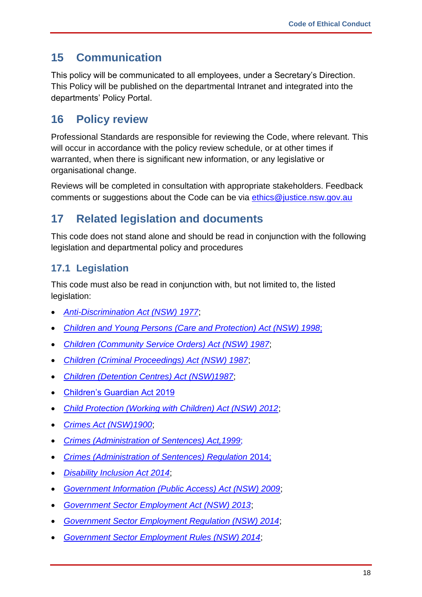## <span id="page-17-0"></span>**15 Communication**

This policy will be communicated to all employees, under a Secretary's Direction. This Policy will be published on the departmental Intranet and integrated into the departments' Policy Portal.

## <span id="page-17-1"></span>**16 Policy review**

Professional Standards are responsible for reviewing the Code, where relevant. This will occur in accordance with the policy review schedule, or at other times if warranted, when there is significant new information, or any legislative or organisational change.

Reviews will be completed in consultation with appropriate stakeholders. Feedback comments or suggestions about the Code can be via [ethics@justice.nsw.gov.au](mailto:ethics@justice.nsw.gov.au)

## <span id="page-17-2"></span>**17 Related legislation and documents**

This code does not stand alone and should be read in conjunction with the following legislation and departmental policy and procedures

## <span id="page-17-3"></span>**17.1 Legislation**

This code must also be read in conjunction with, but not limited to, the listed legislation:

- *[Anti-Discrimination Act \(NSW\) 1977](https://www.legislation.nsw.gov.au/view/html/inforce/current/act-1977-048)*;
- *[Children and Young Persons \(Care and Protection\) Act \(NSW\) 1998](https://www.legislation.nsw.gov.au/view/html/inforce/current/act-1998-157)*;
- *[Children \(Community Service Orders\) Act \(NSW\) 1987](https://www.legislation.nsw.gov.au/view/whole/html/inforce/current/act-1987-056)*;
- *[Children \(Criminal Proceedings\) Act \(NSW\) 1987](https://www.legislation.nsw.gov.au/view/html/inforce/current/act-1987-055)*;
- *[Children \(Detention Centres\) Act \(NSW\)1987](https://www.legislation.nsw.gov.au/view/html/inforce/current/act-1987-057)*;
- [Children's Guardian Act 2019](https://legislation.nsw.gov.au/view/whole/html/inforce/current/act-2019-025)
- *[Child Protection \(Working with Children\) Act \(NSW\) 2012](https://www.legislation.nsw.gov.au/view/html/inforce/current/act-2012-051)*;
- *[Crimes Act \(NSW\)1900](https://www.legislation.nsw.gov.au/view/html/inforce/current/act-1900-040)*;
- *[Crimes \(Administration of Sentences\) Act,1999](https://www.legislation.nsw.gov.au/view/html/inforce/current/act-1999-093)*;
- *[Crimes \(Administration of Sentences\) Regulation](https://www.legislation.nsw.gov.au/view/html/inforce/current/sl-2014-0550)* 2014;
- *[Disability Inclusion Act 2014](https://www.legislation.nsw.gov.au/view/whole/html/inforce/current/act-2014-041)*;
- *[Government Information \(Public Access\) Act \(NSW\) 2009](https://www.legislation.nsw.gov.au/view/html/inforce/current/act-2009-052)*;
- *[Government Sector Employment Act \(NSW\) 2013](https://www.legislation.nsw.gov.au/view/html/inforce/current/act-2013-040)*;
- *[Government Sector Employment Regulation \(NSW\) 2014](https://www.legislation.nsw.gov.au/view/html/inforce/current/sl-2014-0060)*;
- *[Government Sector Employment Rules \(NSW\) 2014](https://www.legislation.nsw.gov.au/view/html/inforce/current/sl-2014-0065)*;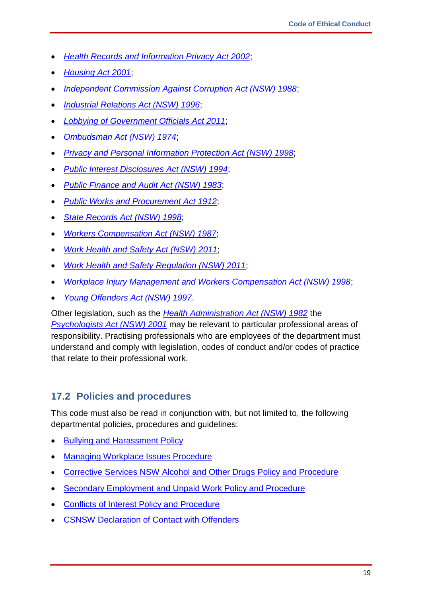- *[Health Records and Information Privacy Act 2002](https://www.legislation.nsw.gov.au/view/html/inforce/current/act-2002-071)*;
- *[Housing Act 2001](https://www.legislation.nsw.gov.au/view/html/inforce/current/act-2001-052)*;
- *[Independent Commission Against Corruption Act \(NSW\) 1988](https://www.legislation.nsw.gov.au/view/html/inforce/current/act-1988-035)*;
- *[Industrial Relations Act \(NSW\) 1996](https://www.legislation.nsw.gov.au/view/html/inforce/current/act-1996-017)*;
- *[Lobbying of Government Officials Act 2011](https://www.legislation.nsw.gov.au/view/html/inforce/current/act-2011-005)*;
- *[Ombudsman Act \(NSW\) 1974](https://www.legislation.nsw.gov.au/view/whole/html/inforce/current/act-1974-068)*;
- *[Privacy and Personal Information Protection Act \(NSW\) 1998](http://www.austlii.edu.au/au/legis/nsw/consol_act/papipa1998464/)*;
- *[Public Interest Disclosures Act \(NSW\) 1994](https://www.legislation.nsw.gov.au/view/html/inforce/current/act-1998-133)*;
- *[Public Finance and Audit Act \(NSW\) 1983](https://www.legislation.nsw.gov.au/view/html/inforce/current/act-1983-152)*;
- *[Public Works and Procurement Act 1912](https://www.legislation.nsw.gov.au/view/html/inforce/current/act-1912-045)*;
- *[State Records Act \(NSW\) 1998](https://www.legislation.nsw.gov.au/view/html/inforce/current/act-1998-017)*;
- *[Workers Compensation Act \(NSW\) 1987](https://www.legislation.nsw.gov.au/view/whole/html/inforce/current/act-1987-070)*;
- *[Work Health and Safety Act \(NSW\)](http://www.austlii.edu.au/au/legis/nsw/consol_act/whasa2011218/) 2011*;
- *[Work Health and Safety Regulation \(NSW\) 2011](https://www.legislation.nsw.gov.au/view/html/inforce/current/act-2011-010)*;
- *[Workplace Injury Management and Workers Compensation Act \(NSW\) 1998](https://www.legislation.nsw.gov.au/view/html/inforce/current/act-1998-086)*;
- *[Young Offenders Act \(NSW\) 1997](https://www.legislation.nsw.gov.au/view/html/inforce/current/act-1997-054)*.

Other legislation, such as the *[Health Administration Act \(NSW\) 1982](https://www.legislation.nsw.gov.au/view/html/inforce/current/act-1982-135)* the *[Psychologists Act \(NSW\) 2001](https://www.legislation.nsw.gov.au/view/html/inforce/2007-12-13/act-2001-069#sch.6)* may be relevant to particular professional areas of responsibility. Practising professionals who are employees of the department must understand and comply with legislation, codes of conduct and/or codes of practice that relate to their professional work.

#### **17.2 Policies and procedures**

This code must also be read in conjunction with, but not limited to, the following departmental policies, procedures and guidelines:

- [Bullying and Harassment Policy](https://intranet.dcj.nsw.gov.au/?a=491320)
- [Managing Workplace Issues Procedure](https://intranet.dcj.nsw.gov.au/?a=491321)
- [Corrective Services NSW Alcohol and Other Drugs Policy and Procedure](https://intranet.internal.justice.nsw.gov.au/hr/Documents/Corrective%20Services/Staff%20Support/csnsw-employee-alcohol-other-drugs-policy.pdf)
- [Secondary Employment and Unpaid Work Policy and Procedure](https://intranet.dcj.nsw.gov.au/view-policy/_recache?file=487572)
- Conflicts [of Interest Policy and Procedure](https://intranet.dcj.nsw.gov.au/view-policy/_recache?file=487573)
- [CSNSW Declaration of Contact with Offenders](https://intranet.internal.justice.nsw.gov.au/PPG/Documents/Human%20Resources/CSNSW%20Policies%20and%20other%20HR%20documents/Contact%20with%20Offenders%20Declaration%20Form%2029-11-17.pdf)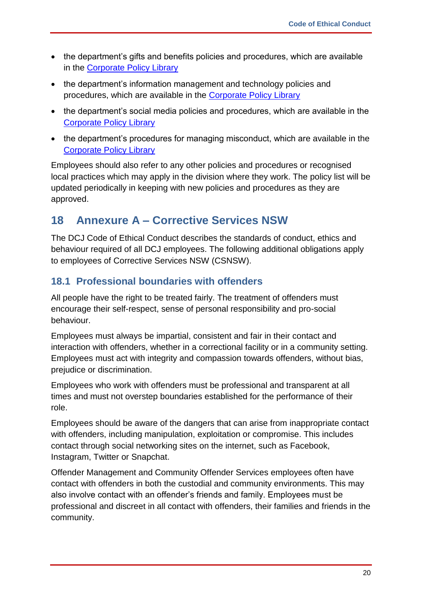- the department's gifts and benefits policies and procedures, which are available in the [Corporate Policy Library](https://intranet.dcj.nsw.gov.au/policies-forms-tools/corporate-policies)
- the department's information management and technology policies and procedures, which are available in the [Corporate Policy Library](https://intranet.dcj.nsw.gov.au/policies-forms-tools/corporate-policies)
- the department's social media policies and procedures, which are available in the [Corporate Policy Library](https://intranet.dcj.nsw.gov.au/policies-forms-tools/corporate-policies)
- the department's procedures for managing misconduct, which are available in the [Corporate Policy Library](https://intranet.dcj.nsw.gov.au/policies-forms-tools/corporate-policies)

Employees should also refer to any other policies and procedures or recognised local practices which may apply in the division where they work. The policy list will be updated periodically in keeping with new policies and procedures as they are approved.

## <span id="page-19-0"></span>**18 Annexure A – Corrective Services NSW**

The DCJ Code of Ethical Conduct describes the standards of conduct, ethics and behaviour required of all DCJ employees. The following additional obligations apply to employees of Corrective Services NSW (CSNSW).

### <span id="page-19-1"></span>**18.1 Professional boundaries with offenders**

All people have the right to be treated fairly. The treatment of offenders must encourage their self-respect, sense of personal responsibility and pro-social behaviour.

Employees must always be impartial, consistent and fair in their contact and interaction with offenders, whether in a correctional facility or in a community setting. Employees must act with integrity and compassion towards offenders, without bias, prejudice or discrimination.

Employees who work with offenders must be professional and transparent at all times and must not overstep boundaries established for the performance of their role.

Employees should be aware of the dangers that can arise from inappropriate contact with offenders, including manipulation, exploitation or compromise. This includes contact through social networking sites on the internet, such as Facebook, Instagram, Twitter or Snapchat.

Offender Management and Community Offender Services employees often have contact with offenders in both the custodial and community environments. This may also involve contact with an offender's friends and family. Employees must be professional and discreet in all contact with offenders, their families and friends in the community.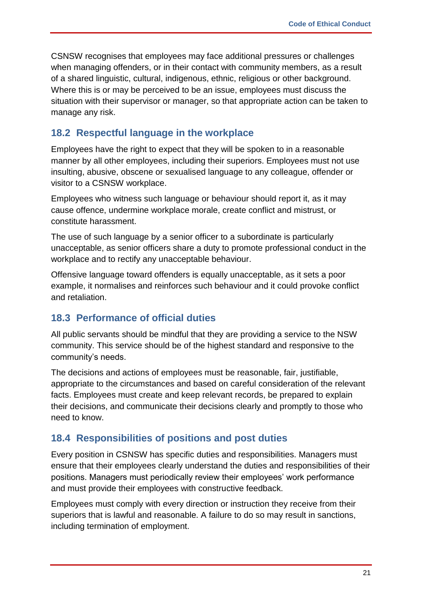CSNSW recognises that employees may face additional pressures or challenges when managing offenders, or in their contact with community members, as a result of a shared linguistic, cultural, indigenous, ethnic, religious or other background. Where this is or may be perceived to be an issue, employees must discuss the situation with their supervisor or manager, so that appropriate action can be taken to manage any risk.

#### <span id="page-20-0"></span>**18.2 Respectful language in the workplace**

Employees have the right to expect that they will be spoken to in a reasonable manner by all other employees, including their superiors. Employees must not use insulting, abusive, obscene or sexualised language to any colleague, offender or visitor to a CSNSW workplace.

Employees who witness such language or behaviour should report it, as it may cause offence, undermine workplace morale, create conflict and mistrust, or constitute harassment.

The use of such language by a senior officer to a subordinate is particularly unacceptable, as senior officers share a duty to promote professional conduct in the workplace and to rectify any unacceptable behaviour.

Offensive language toward offenders is equally unacceptable, as it sets a poor example, it normalises and reinforces such behaviour and it could provoke conflict and retaliation.

#### <span id="page-20-1"></span>**18.3 Performance of official duties**

All public servants should be mindful that they are providing a service to the NSW community. This service should be of the highest standard and responsive to the community's needs.

The decisions and actions of employees must be reasonable, fair, justifiable, appropriate to the circumstances and based on careful consideration of the relevant facts. Employees must create and keep relevant records, be prepared to explain their decisions, and communicate their decisions clearly and promptly to those who need to know.

#### <span id="page-20-2"></span>**18.4 Responsibilities of positions and post duties**

Every position in CSNSW has specific duties and responsibilities. Managers must ensure that their employees clearly understand the duties and responsibilities of their positions. Managers must periodically review their employees' work performance and must provide their employees with constructive feedback.

Employees must comply with every direction or instruction they receive from their superiors that is lawful and reasonable. A failure to do so may result in sanctions, including termination of employment.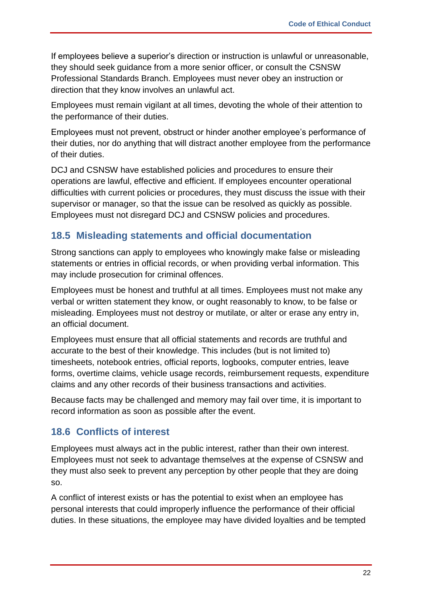If employees believe a superior's direction or instruction is unlawful or unreasonable, they should seek guidance from a more senior officer, or consult the CSNSW Professional Standards Branch. Employees must never obey an instruction or direction that they know involves an unlawful act.

Employees must remain vigilant at all times, devoting the whole of their attention to the performance of their duties.

Employees must not prevent, obstruct or hinder another employee's performance of their duties, nor do anything that will distract another employee from the performance of their duties.

DCJ and CSNSW have established policies and procedures to ensure their operations are lawful, effective and efficient. If employees encounter operational difficulties with current policies or procedures, they must discuss the issue with their supervisor or manager, so that the issue can be resolved as quickly as possible. Employees must not disregard DCJ and CSNSW policies and procedures.

### <span id="page-21-0"></span>**18.5 Misleading statements and official documentation**

Strong sanctions can apply to employees who knowingly make false or misleading statements or entries in official records, or when providing verbal information. This may include prosecution for criminal offences.

Employees must be honest and truthful at all times. Employees must not make any verbal or written statement they know, or ought reasonably to know, to be false or misleading. Employees must not destroy or mutilate, or alter or erase any entry in, an official document.

Employees must ensure that all official statements and records are truthful and accurate to the best of their knowledge. This includes (but is not limited to) timesheets, notebook entries, official reports, logbooks, computer entries, leave forms, overtime claims, vehicle usage records, reimbursement requests, expenditure claims and any other records of their business transactions and activities.

Because facts may be challenged and memory may fail over time, it is important to record information as soon as possible after the event.

#### <span id="page-21-1"></span>**18.6 Conflicts of interest**

Employees must always act in the public interest, rather than their own interest. Employees must not seek to advantage themselves at the expense of CSNSW and they must also seek to prevent any perception by other people that they are doing so.

A conflict of interest exists or has the potential to exist when an employee has personal interests that could improperly influence the performance of their official duties. In these situations, the employee may have divided loyalties and be tempted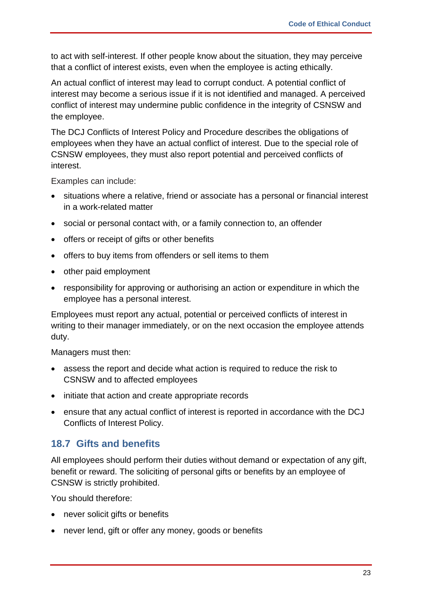to act with self-interest. If other people know about the situation, they may perceive that a conflict of interest exists, even when the employee is acting ethically.

An actual conflict of interest may lead to corrupt conduct. A potential conflict of interest may become a serious issue if it is not identified and managed. A perceived conflict of interest may undermine public confidence in the integrity of CSNSW and the employee.

The DCJ Conflicts of Interest Policy and Procedure describes the obligations of employees when they have an actual conflict of interest. Due to the special role of CSNSW employees, they must also report potential and perceived conflicts of interest.

Examples can include:

- situations where a relative, friend or associate has a personal or financial interest in a work-related matter
- social or personal contact with, or a family connection to, an offender
- offers or receipt of gifts or other benefits
- offers to buy items from offenders or sell items to them
- other paid employment
- responsibility for approving or authorising an action or expenditure in which the employee has a personal interest.

Employees must report any actual, potential or perceived conflicts of interest in writing to their manager immediately, or on the next occasion the employee attends duty.

Managers must then:

- assess the report and decide what action is required to reduce the risk to CSNSW and to affected employees
- initiate that action and create appropriate records
- ensure that any actual conflict of interest is reported in accordance with the DCJ Conflicts of Interest Policy.

#### <span id="page-22-0"></span>**18.7 Gifts and benefits**

All employees should perform their duties without demand or expectation of any gift, benefit or reward. The soliciting of personal gifts or benefits by an employee of CSNSW is strictly prohibited.

You should therefore:

- never solicit gifts or benefits
- never lend, gift or offer any money, goods or benefits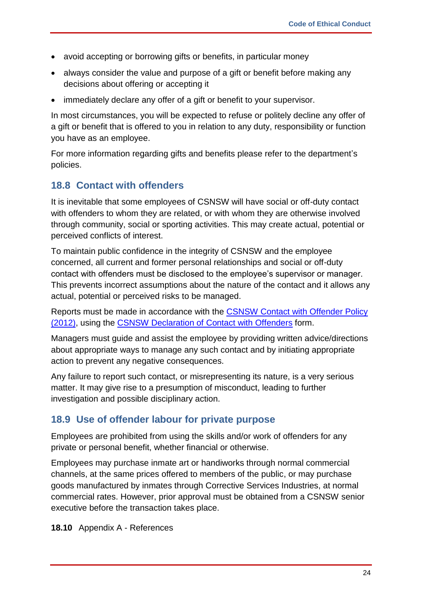- avoid accepting or borrowing gifts or benefits, in particular money
- always consider the value and purpose of a gift or benefit before making any decisions about offering or accepting it
- immediately declare any offer of a gift or benefit to your supervisor.

In most circumstances, you will be expected to refuse or politely decline any offer of a gift or benefit that is offered to you in relation to any duty, responsibility or function you have as an employee.

For more information regarding gifts and benefits please refer to the department's policies.

#### <span id="page-23-0"></span>**18.8 Contact with offenders**

It is inevitable that some employees of CSNSW will have social or off-duty contact with offenders to whom they are related, or with whom they are otherwise involved through community, social or sporting activities. This may create actual, potential or perceived conflicts of interest.

To maintain public confidence in the integrity of CSNSW and the employee concerned, all current and former personal relationships and social or off-duty contact with offenders must be disclosed to the employee's supervisor or manager. This prevents incorrect assumptions about the nature of the contact and it allows any actual, potential or perceived risks to be managed.

Reports must be made in accordance with the [CSNSW Contact with Offender Policy](https://intranet.internal.justice.nsw.gov.au/Divisions/Documents/corrective-services-nsw/secure/policies-and-procedures/csnsw-policy-and-procedures-directory/professional-standards-branch/contact-with-offender-policy.pdf)  [\(2012\),](https://intranet.internal.justice.nsw.gov.au/Divisions/Documents/corrective-services-nsw/secure/policies-and-procedures/csnsw-policy-and-procedures-directory/professional-standards-branch/contact-with-offender-policy.pdf) using the [CSNSW Declaration of](https://intranet.internal.justice.nsw.gov.au/PPG/Documents/Human%20Resources/CSNSW%20Policies%20and%20other%20HR%20documents/Contact%20with%20Offenders%20Declaration%20Form%2029-11-17.pdf) Contact with Offenders form.

Managers must guide and assist the employee by providing written advice/directions about appropriate ways to manage any such contact and by initiating appropriate action to prevent any negative consequences.

Any failure to report such contact, or misrepresenting its nature, is a very serious matter. It may give rise to a presumption of misconduct, leading to further investigation and possible disciplinary action.

#### <span id="page-23-1"></span>**18.9 Use of offender labour for private purpose**

Employees are prohibited from using the skills and/or work of offenders for any private or personal benefit, whether financial or otherwise.

Employees may purchase inmate art or handiworks through normal commercial channels, at the same prices offered to members of the public, or may purchase goods manufactured by inmates through Corrective Services Industries, at normal commercial rates. However, prior approval must be obtained from a CSNSW senior executive before the transaction takes place.

**18.10** Appendix A - References